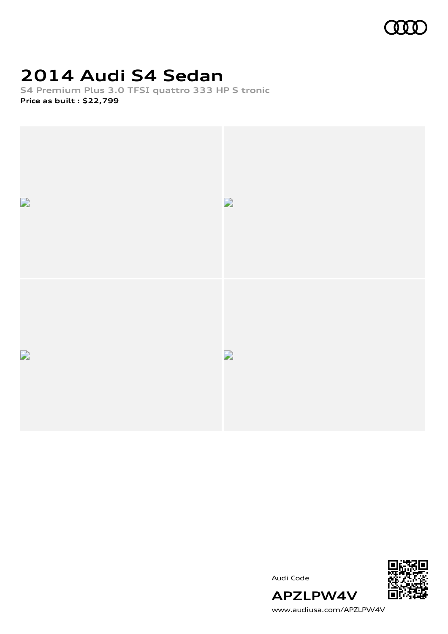

# **2014 Audi S4 Sedan**

**S4 Premium Plus 3.0 TFSI quattro 333 HP S tronic Price as built [:](#page-10-0) \$22,799**



Audi Code



[www.audiusa.com/APZLPW4V](https://www.audiusa.com/APZLPW4V)

**APZLPW4V**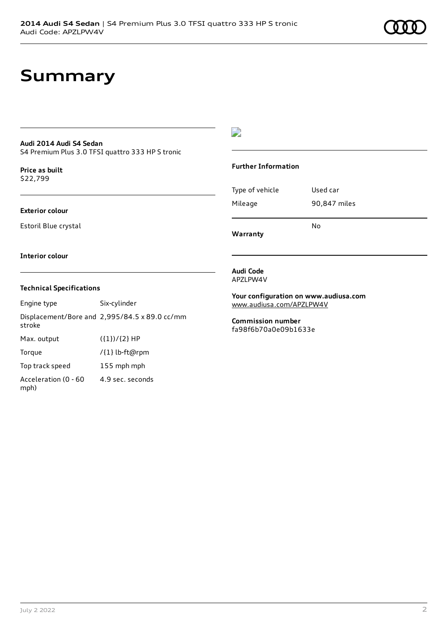## **Summary**

### **Audi 2014 Audi S4 Sedan**

S4 Premium Plus 3.0 TFSI quattro 333 HP S tronic

**Price as buil[t](#page-10-0)** \$22,799

### **Exterior colour**

Estoril Blue crystal

### $\overline{\phantom{a}}$

### **Further Information**

|                 | No           |
|-----------------|--------------|
| Mileage         | 90,847 miles |
| Type of vehicle | Used car     |

**Warranty**

#### **Interior colour**

### **Technical Specifications**

| Engine type                  | Six-cylinder                                  |
|------------------------------|-----------------------------------------------|
| stroke                       | Displacement/Bore and 2,995/84.5 x 89.0 cc/mm |
| Max. output                  | $({1})/{2}$ HP                                |
| Torque                       | /{1} lb-ft@rpm                                |
| Top track speed              | 155 mph mph                                   |
| Acceleration (0 - 60<br>mph) | 4.9 sec. seconds                              |

**Audi Code** APZLPW4V

**Your configuration on www.audiusa.com** [www.audiusa.com/APZLPW4V](https://www.audiusa.com/APZLPW4V)

**Commission number** fa98f6b70a0e09b1633e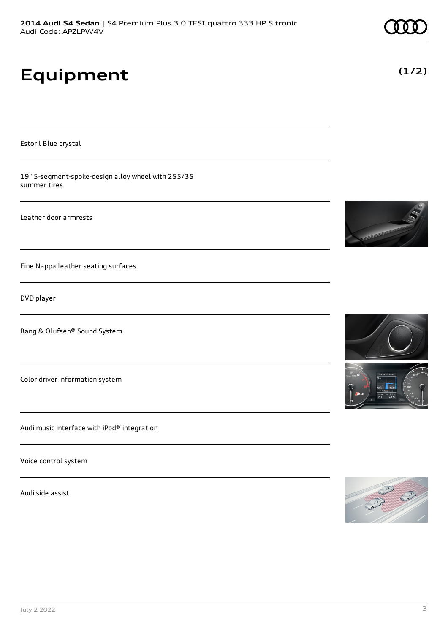# **Equipment**

Estoril Blue crystal

19" 5-segment-spoke-design alloy wheel with 255/35 summer tires

Leather door armrests

Fine Nappa leather seating surfaces

DVD player

Bang & Olufsen® Sound System

Color driver information system

Audi music interface with iPod® integration

Voice control system

Audi side assist









**(1/2)**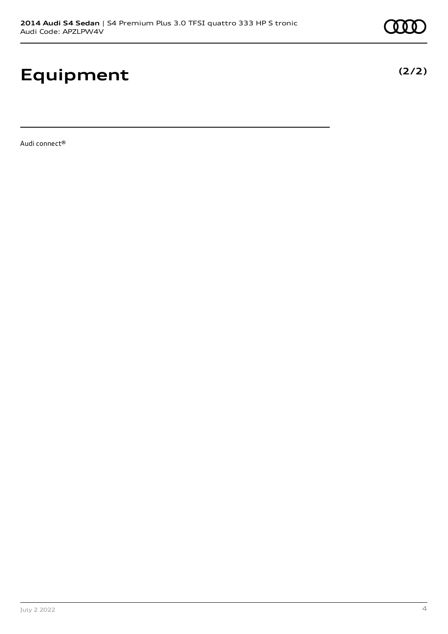# **Equipment**

Audi connect®

**(2/2)**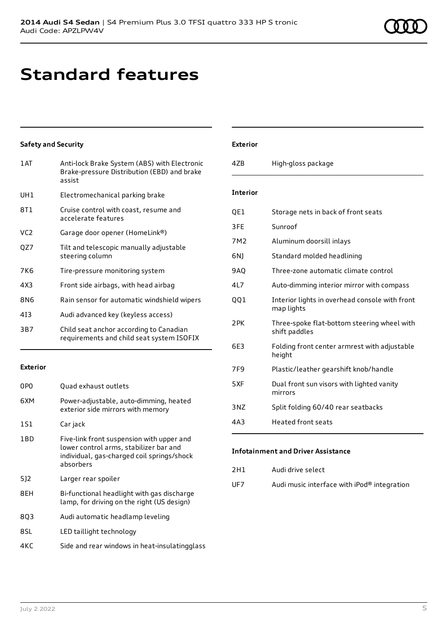# **Standard features**

### **Safety and Security**

| 1AT             | Anti-lock Brake System (ABS) with Electronic<br>Brake-pressure Distribution (EBD) and brake<br>assist |
|-----------------|-------------------------------------------------------------------------------------------------------|
| UH <sub>1</sub> | Electromechanical parking brake                                                                       |
| 8T1             | Cruise control with coast, resume and<br>accelerate features                                          |
| VC <sub>2</sub> | Garage door opener (HomeLink®)                                                                        |
| QZ7             | Tilt and telescopic manually adjustable<br>steering column                                            |
| 7K6             | Tire-pressure monitoring system                                                                       |
| 4X3             | Front side airbags, with head airbag                                                                  |
| 8N6             | Rain sensor for automatic windshield wipers                                                           |
| 413             | Audi advanced key (keyless access)                                                                    |
| 3B7             | Child seat anchor according to Canadian<br>requirements and child seat system ISOFIX                  |

### **Exterior**

| 0PO | Quad exhaust outlets                                                                                                                           |
|-----|------------------------------------------------------------------------------------------------------------------------------------------------|
| 6XM | Power-adjustable, auto-dimming, heated<br>exterior side mirrors with memory                                                                    |
| 1S1 | Car jack                                                                                                                                       |
| 1BD | Five-link front suspension with upper and<br>lower control arms, stabilizer bar and<br>individual, gas-charged coil springs/shock<br>absorbers |
| 5]2 | Larger rear spoiler                                                                                                                            |
| 8EH | Bi-functional headlight with gas discharge<br>lamp, for driving on the right (US design)                                                       |
| 803 | Audi automatic headlamp leveling                                                                                                               |
| 8SL | LED taillight technology                                                                                                                       |
| 4KC | Side and rear windows in heat-insulatingglass                                                                                                  |

### **Exterior**

| 47 <sub>B</sub> | High-gloss package                                           |
|-----------------|--------------------------------------------------------------|
| <b>Interior</b> |                                                              |
| QE1             | Storage nets in back of front seats                          |
| 3FE             | Sunroof                                                      |
| 7M2             | Aluminum doorsill inlays                                     |
| 6N1             | Standard molded headlining                                   |
| 9AQ             | Three-zone automatic climate control                         |
| 4L7             | Auto-dimming interior mirror with compass                    |
| 001             | Interior lights in overhead console with front<br>map lights |
| 2PK             | Three-spoke flat-bottom steering wheel with<br>shift paddles |
| 6F3             | Folding front center armrest with adjustable<br>height       |
| 7F <sub>9</sub> | Plastic/leather gearshift knob/handle                        |
| 5XF             | Dual front sun visors with lighted vanity<br>mirrors         |
| 3NZ             | Split folding 60/40 rear seatbacks                           |
| 4A3             | <b>Heated front seats</b>                                    |

### **Infotainment and Driver Assistance**

| 2H1 | Audi drive select |  |
|-----|-------------------|--|
|     |                   |  |

UF7 Audi music interface with iPod® integration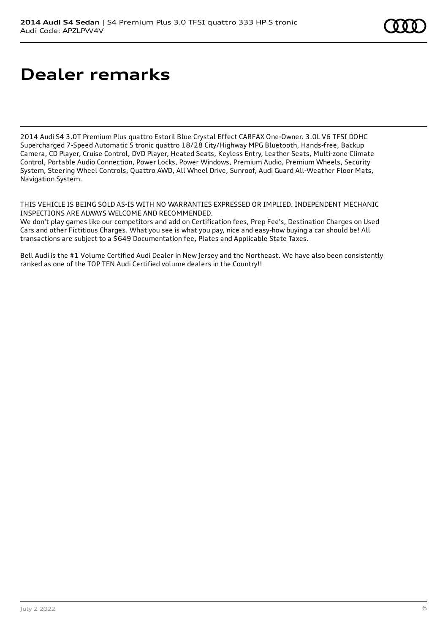# **Dealer remarks**

2014 Audi S4 3.0T Premium Plus quattro Estoril Blue Crystal Effect CARFAX One-Owner. 3.0L V6 TFSI DOHC Supercharged 7-Speed Automatic S tronic quattro 18/28 City/Highway MPG Bluetooth, Hands-free, Backup Camera, CD Player, Cruise Control, DVD Player, Heated Seats, Keyless Entry, Leather Seats, Multi-zone Climate Control, Portable Audio Connection, Power Locks, Power Windows, Premium Audio, Premium Wheels, Security System, Steering Wheel Controls, Quattro AWD, All Wheel Drive, Sunroof, Audi Guard All-Weather Floor Mats, Navigation System.

THIS VEHICLE IS BEING SOLD AS-IS WITH NO WARRANTIES EXPRESSED OR IMPLIED. INDEPENDENT MECHANIC INSPECTIONS ARE ALWAYS WELCOME AND RECOMMENDED.

We don't play games like our competitors and add on Certification fees, Prep Fee's, Destination Charges on Used Cars and other Fictitious Charges. What you see is what you pay, nice and easy-how buying a car should be! All transactions are subject to a \$649 Documentation fee, Plates and Applicable State Taxes.

Bell Audi is the #1 Volume Certified Audi Dealer in New Jersey and the Northeast. We have also been consistently ranked as one of the TOP TEN Audi Certified volume dealers in the Country!!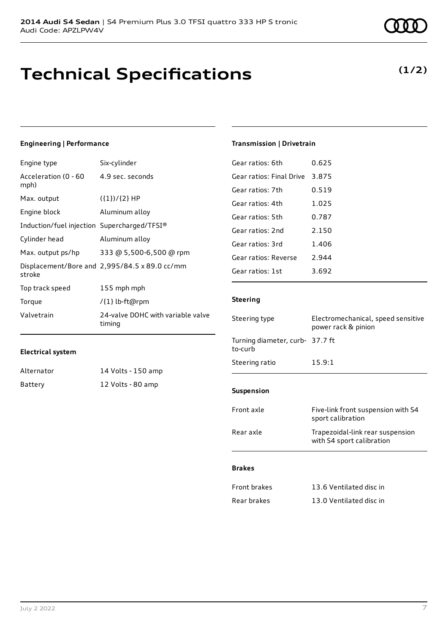## **Technical Specifications**

### **Engineering | Performance**

| Engine type                                 | Six-cylinder                                  |
|---------------------------------------------|-----------------------------------------------|
| Acceleration (0 - 60<br>mph)                | 4.9 sec. seconds                              |
| Max. output                                 | $({1})/{2}$ HP                                |
| Engine block                                | Aluminum alloy                                |
| Induction/fuel injection Supercharged/TFSI® |                                               |
| Cylinder head                               | Aluminum alloy                                |
| Max. output ps/hp                           | 333 @ 5,500-6,500 @ rpm                       |
| stroke                                      | Displacement/Bore and 2,995/84.5 x 89.0 cc/mm |
| Top track speed                             | 155 mph mph                                   |
| Torque                                      | /{1} lb-ft@rpm                                |
| Valvetrain                                  | 24-valve DOHC with variable valve<br>timing   |

#### **Transmission | Drivetrain**

| Gear ratios: 6th         | 0.625 |
|--------------------------|-------|
| Gear ratios: Final Drive | 3.875 |
| Gear ratios: 7th         | 0.519 |
| Gear ratios: 4th         | 1.025 |
| Gear ratios: 5th         | 0.787 |
| Gear ratios: 2nd         | 2.150 |
| Gear ratios: 3rd         | 1.406 |
| Gear ratios: Reverse     | 2.944 |
| Gear ratios: 1st         | 3.692 |

### **Steering**

| Steering type                              | Electromechanical, speed sensitive<br>power rack & pinion     |
|--------------------------------------------|---------------------------------------------------------------|
| Turning diameter, curb- 37.7 ft<br>to-curb |                                                               |
| Steering ratio                             | 15.9:1                                                        |
|                                            |                                                               |
| <b>Suspension</b>                          |                                                               |
| Front axle                                 | Five-link front suspension with S4<br>sport calibration       |
| Rear axle                                  | Trapezoidal-link rear suspension<br>with S4 sport calibration |
| <b>Brakes</b>                              |                                                               |
|                                            |                                                               |
| <b>Front brakes</b>                        | 13.6 Ventilated disc in                                       |
| Rear brakes                                | 13.0 Ventilated disc in                                       |

| <br>Valvetrain    | 24-valve DOHC with<br>timing |
|-------------------|------------------------------|
| Electrical system |                              |
| Alternator        | 14 Volts - 150 amp           |

Battery 12 Volts - 80 amp

### **(1/2)**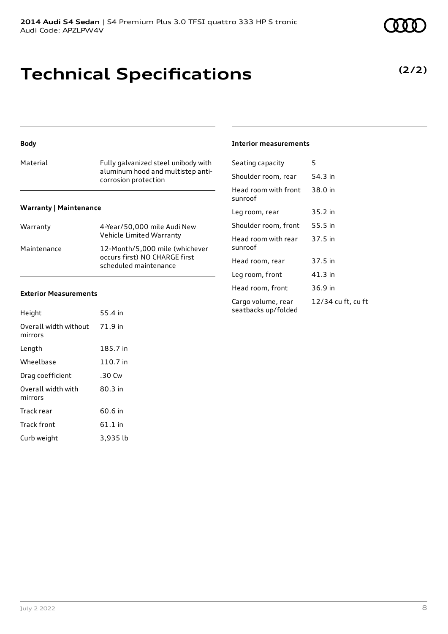## **Technical Specifications**

### **(2/2)**

### **Body**

| Material                      | Fully galvanized steel unibody with<br>aluminum hood and multistep anti-<br>corrosion protection |
|-------------------------------|--------------------------------------------------------------------------------------------------|
| <b>Warranty   Maintenance</b> |                                                                                                  |
| Warranty                      | 4-Year/50,000 mile Audi New<br>Vehicle Limited Warranty                                          |

Maintenance 12-Month/5,000 mile (whichever

occurs first) NO CHARGE first scheduled maintenance

#### **Exterior Measurements**

| Height                           | 55.4 in   |
|----------------------------------|-----------|
| Overall width without<br>mirrors | 71.9 in   |
| Length                           | 185.7 in  |
| Wheelbase                        | 110.7 in  |
| Drag coefficient                 | .30 Cw    |
| Overall width with<br>mirrors    | 80.3 in   |
| Track rear                       | 60.6 in   |
| <b>Track front</b>               | $61.1$ in |
| Curb weight                      | 3.935 lb  |

#### **Interior measurements**

| Seating capacity                          | 5                  |
|-------------------------------------------|--------------------|
| Shoulder room, rear                       | 54.3 in            |
| Head room with front<br>sunroof           | 38.0 in            |
| Leg room, rear                            | 35.2 in            |
| Shoulder room, front                      | 55.5 in            |
| Head room with rear<br>sunroof            | 37.5 in            |
| Head room, rear                           | 37.5 in            |
| Leg room, front                           | 41.3 in            |
| Head room, front                          | 36.9 in            |
| Cargo volume, rear<br>seatbacks up/folded | 12/34 cu ft, cu ft |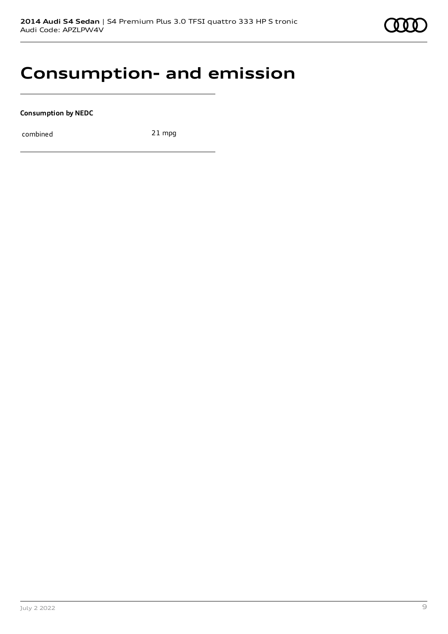

### **Consumption- and emission**

**Consumption by NEDC**

combined 21 mpg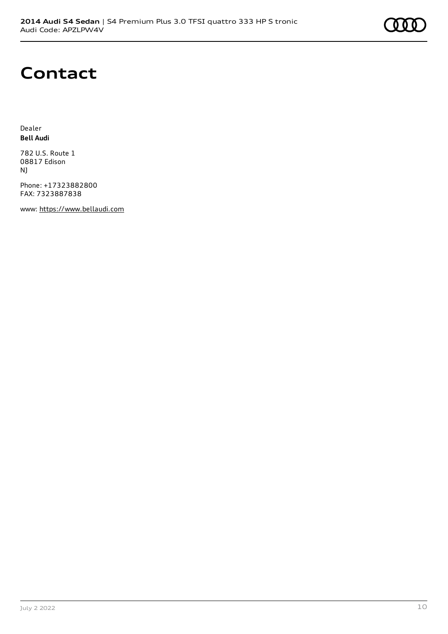### **Contact**

Dealer **Bell Audi**

782 U.S. Route 1 08817 Edison NJ

Phone: +17323882800 FAX: 7323887838

www: [https://www.bellaudi.com](https://www.bellaudi.com/)